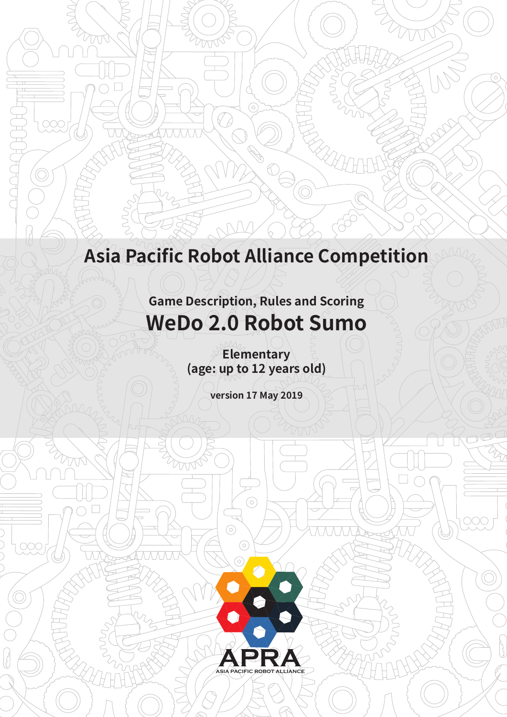# **Asia Pacific Robot Alliance Competition**

 $\bigcirc$ 

 $\bigodot$ 

 $\curvearrowleft$ 

 $\circledcirc\circ$ 

DOC

**Game Description, Rules and Scoring WeDo 2.0 Robot Sumo**

> **Elementary (age: up to 12 years old)**

> > **version 17 May 2019**

 $\odot$ 

 $\odot$ 

 $\odot$ 

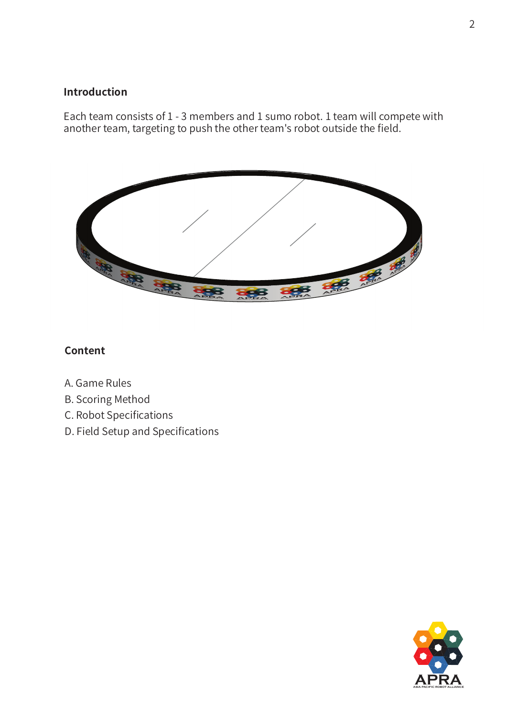# **Introduction**

Each team consists of 1 - 3 members and 1 sumo robot. 1 team will compete with another team, targeting to push the other team's robot outside the field.



## **Content**

- A. Game Rules
- B. Scoring Method
- C. Robot Specifications
- D. Field Setup and Specifications

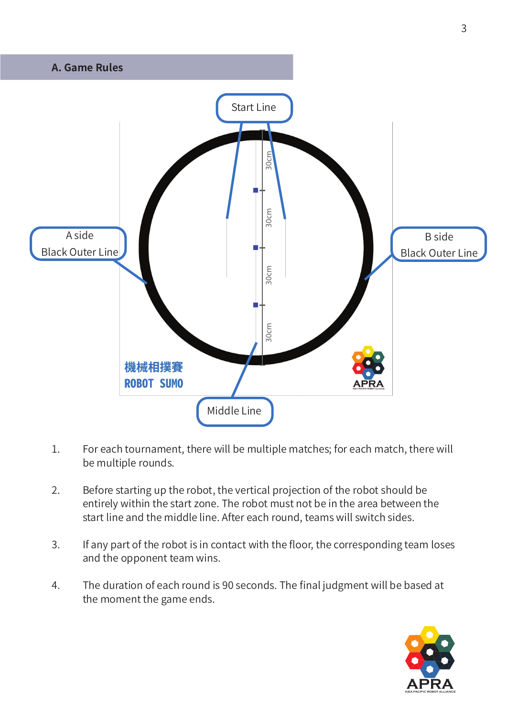

- 1. For each tournament, there will be multiple matches; for each match, there will be multiple rounds.
- 2. Before starting up the robot, the vertical projection of the robot should be entirely within the start zone. The robot must not be in the area between the start line and the middle line. After each round, teams will switch sides.
- 3. If any part of the robot is in contact with the floor, the corresponding team loses and the opponent team wins.
- 4. The duration of each round is 90 seconds. The final judgment will be based at the moment the game ends.

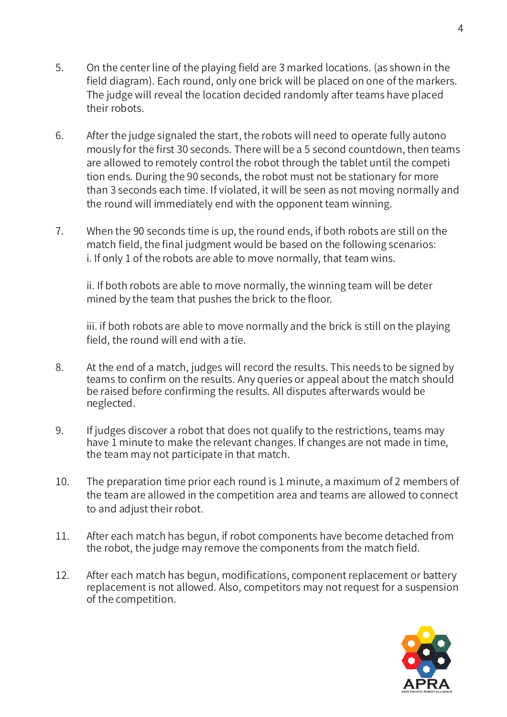- 5. On the center line of the playing field are 3 marked locations. (as shown in the field diagram). Each round, only one brick will be placed on one of the markers. The judge will reveal the location decided randomly after teams have placed their robots.
- 6. After the judge signaled the start, the robots will need to operate fully autono mously for the first 30 seconds. There will be a 5 second countdown, then teams are allowed to remotely control the robot through the tablet until the competi tion ends. During the 90 seconds, the robot must not be stationary for more than 3 seconds each time. If violated, it will be seen as not moving normally and the round will immediately end with the opponent team winning.
- 7. When the 90 seconds time is up, the round ends, if both robots are still on the match field, the final judgment would be based on the following scenarios: i. If only 1 of the robots are able to move normally, that team wins.

 ii. If both robots are able to move normally, the winning team will be deter mined by the team that pushes the brick to the floor.

 iii. if both robots are able to move normally and the brick is still on the playing field, the round will end with a tie.

- 8. At the end of a match, judges will record the results. This needs to be signed by teams to confirm on the results. Any queries or appeal about the match should be raised before confirming the results. All disputes afterwards would be neglected.
- 9. If judges discover a robot that does not qualify to the restrictions, teams may have 1 minute to make the relevant changes. If changes are not made in time, the team may not participate in that match.
- 10. The preparation time prior each round is 1 minute, a maximum of 2 members of the team are allowed in the competition area and teams are allowed to connect to and adjust their robot.
- 11. After each match has begun, if robot components have become detached from the robot, the judge may remove the components from the match field.
- 12. After each match has begun, modifications, component replacement or battery replacement is not allowed. Also, competitors may not request for a suspension of the competition.

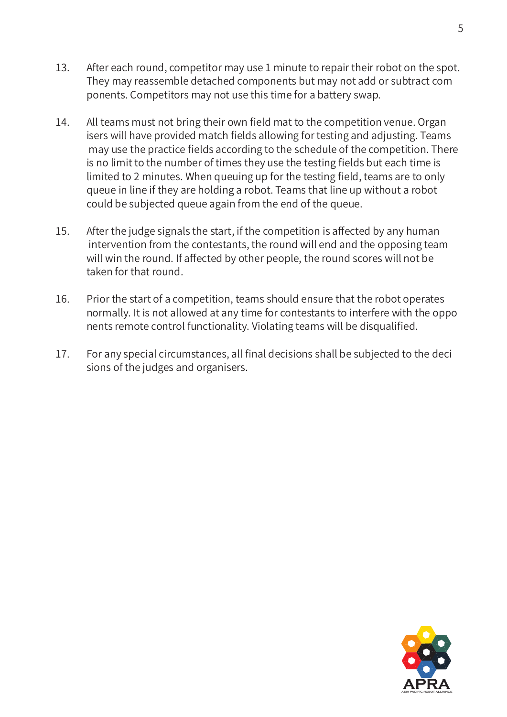- 13. After each round, competitor may use 1 minute to repair their robot on the spot. They may reassemble detached components but may not add or subtract com ponents. Competitors may not use this time for a battery swap.
- 14. All teams must not bring their own field mat to the competition venue. Organ isers will have provided match fields allowing for testing and adjusting. Teams may use the practice fields according to the schedule of the competition. There is no limit to the number of times they use the testing fields but each time is limited to 2 minutes. When queuing up for the testing field, teams are to only queue in line if they are holding a robot. Teams that line up without a robot could be subjected queue again from the end of the queue.
- 15. After the judge signals the start, if the competition is affected by any human intervention from the contestants, the round will end and the opposing team will win the round. If affected by other people, the round scores will not be taken for that round.
- 16. Prior the start of a competition, teams should ensure that the robot operates normally. It is not allowed at any time for contestants to interfere with the oppo nents remote control functionality. Violating teams will be disqualified.
- 17. For any special circumstances, all final decisions shall be subjected to the deci sions of the judges and organisers.

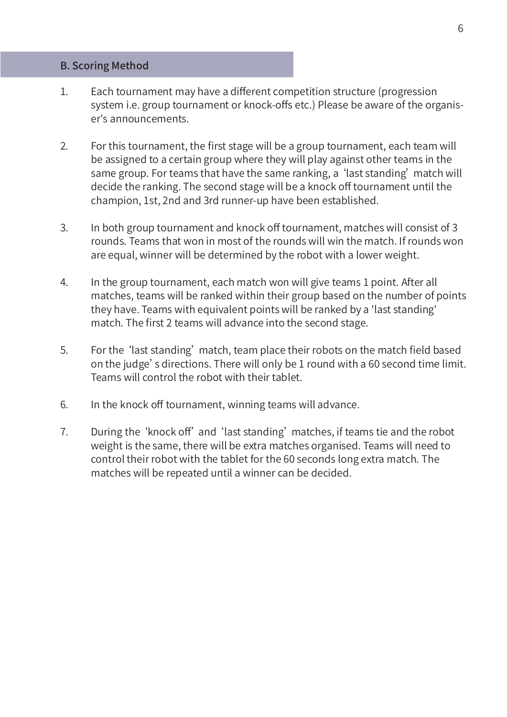#### B. Scoring Method

- 1. Each tournament may have a different competition structure (progression system i.e. group tournament or knock-offs etc.) Please be aware of the organis er's announcements.
- 2. For this tournament, the first stage will be a group tournament, each team will be assigned to a certain group where they will play against other teams in the same group. For teams that have the same ranking, a 'last standing' match will decide the ranking. The second stage will be a knock off tournament until the champion, 1st, 2nd and 3rd runner-up have been established.
- 3. In both group tournament and knock off tournament, matches will consist of 3 rounds. Teams that won in most of the rounds will win the match. If rounds won are equal, winner will be determined by the robot with a lower weight.
- 4. In the group tournament, each match won will give teams 1 point. After all matches, teams will be ranked within their group based on the number of points they have. Teams with equivalent points will be ranked by a 'last standing' match. The first 2 teams will advance into the second stage.
- 5. For the 'last standing' match, team place their robots on the match field based on the judge's directions. There will only be 1 round with a 60 second time limit. Teams will control the robot with their tablet.
- 6. In the knock off tournament, winning teams will advance.
- 7. During the 'knock off' and 'last standing' matches, if teams tie and the robot weight is the same, there will be extra matches organised. Teams will need to control their robot with the tablet for the 60 seconds long extra match. The matches will be repeated until a winner can be decided.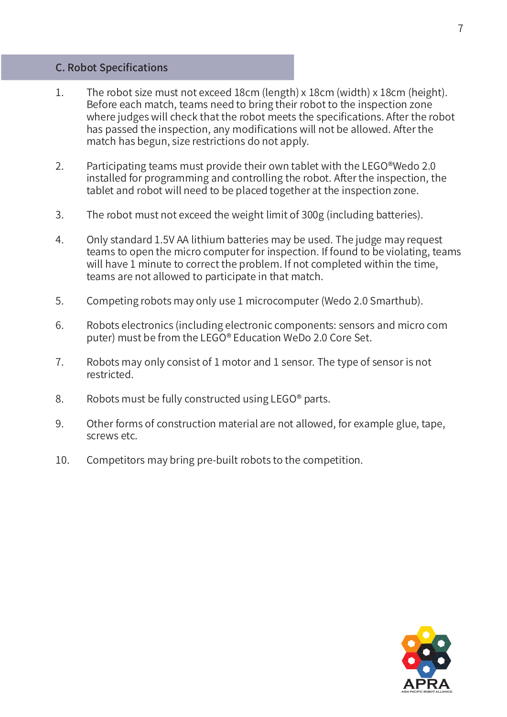#### C. Robot Specifications

- 1. The robot size must not exceed 18cm (length) x 18cm (width) x 18cm (height). Before each match, teams need to bring their robot to the inspection zone where judges will check that the robot meets the specifications. After the robot has passed the inspection, any modifications will not be allowed. After the match has begun, size restrictions do not apply.
- 2. Participating teams must provide their own tablet with the LEGO<sup>®</sup>Wedo 2.0 installed for programming and controlling the robot. After the inspection, the tablet and robot will need to be placed together at the inspection zone.
- 3. The robot must not exceed the weight limit of 300g (including batteries).
- 4. Only standard 1.5V AA lithium batteries may be used. The judge may request teams to open the micro computer for inspection. If found to be violating, teams will have 1 minute to correct the problem. If not completed within the time, teams are not allowed to participate in that match.
- 5. Competing robots may only use 1 microcomputer (Wedo 2.0 Smarthub).
- 6. Robots electronics (including electronic components: sensors and micro com puter) must be from the LEGO® Education WeDo 2.0 Core Set.
- 7. Robots may only consist of 1 motor and 1 sensor. The type of sensor is not restricted.
- 8. Robots must be fully constructed using LEGO® parts.
- 9. Other forms of construction material are not allowed, for example glue, tape, screws etc.
- 10. Competitors may bring pre-built robots to the competition.



**ASIA PACIFIC ROBOT ALLIANCE**